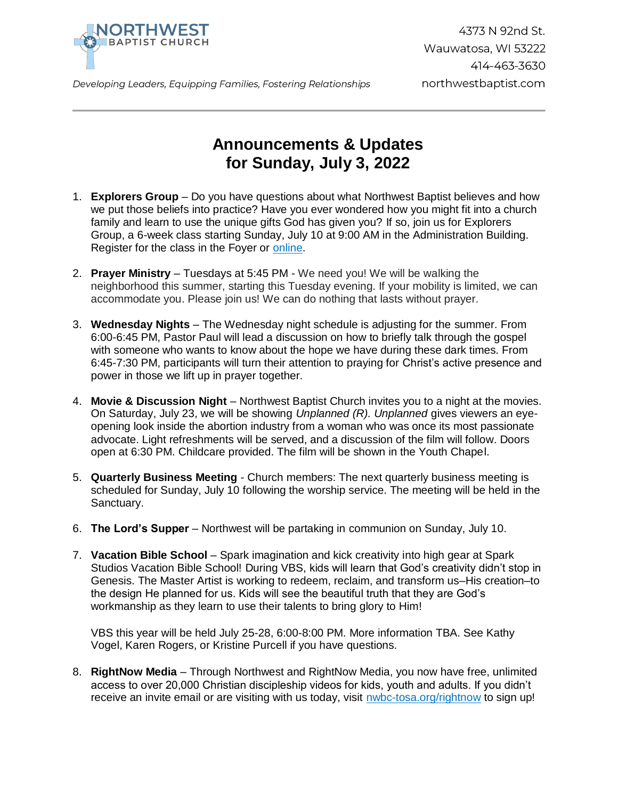

Developing Leaders, Equipping Families, Fostering Relationships

## **Announcements & Updates for Sunday, July 3, 2022**

- 1. **Explorers Group** Do you have questions about what Northwest Baptist believes and how we put those beliefs into practice? Have you ever wondered how you might fit into a church family and learn to use the unique gifts God has given you? If so, join us for Explorers Group, a 6-week class starting Sunday, July 10 at 9:00 AM in the Administration Building. Register for the class in the Foyer or [online.](https://forms.gle/7ZTvufYJy8F4CTUR6)
- 2. **Prayer Ministry** Tuesdays at 5:45 PM We need you! We will be walking the neighborhood this summer, starting this Tuesday evening. If your mobility is limited, we can accommodate you. Please join us! We can do nothing that lasts without prayer.
- 3. **Wednesday Nights** The Wednesday night schedule is adjusting for the summer. From 6:00-6:45 PM, Pastor Paul will lead a discussion on how to briefly talk through the gospel with someone who wants to know about the hope we have during these dark times. From 6:45-7:30 PM, participants will turn their attention to praying for Christ's active presence and power in those we lift up in prayer together.
- 4. **Movie & Discussion Night** Northwest Baptist Church invites you to a night at the movies. On Saturday, July 23, we will be showing *Unplanned (R). Unplanned* gives viewers an eyeopening look inside the abortion industry from a woman who was once its most passionate advocate. Light refreshments will be served, and a discussion of the film will follow. Doors open at 6:30 PM. Childcare provided. The film will be shown in the Youth Chapel.
- 5. **Quarterly Business Meeting** Church members: The next quarterly business meeting is scheduled for Sunday, July 10 following the worship service. The meeting will be held in the Sanctuary.
- 6. **The Lord's Supper** Northwest will be partaking in communion on Sunday, July 10.
- 7. **Vacation Bible School** Spark imagination and kick creativity into high gear at Spark Studios Vacation Bible School! During VBS, kids will learn that God's creativity didn't stop in Genesis. The Master Artist is working to redeem, reclaim, and transform us–His creation–to the design He planned for us. Kids will see the beautiful truth that they are God's workmanship as they learn to use their talents to bring glory to Him!

VBS this year will be held July 25-28, 6:00-8:00 PM. More information TBA. See Kathy Vogel, Karen Rogers, or Kristine Purcell if you have questions.

8. **RightNow Media** – Through Northwest and RightNow Media, you now have free, unlimited access to over 20,000 Christian discipleship videos for kids, youth and adults. If you didn't receive an invite email or are visiting with us today, visit [nwbc-tosa.org/rightnow](https://nwbc-tosa.org/rightnow) to sign up!